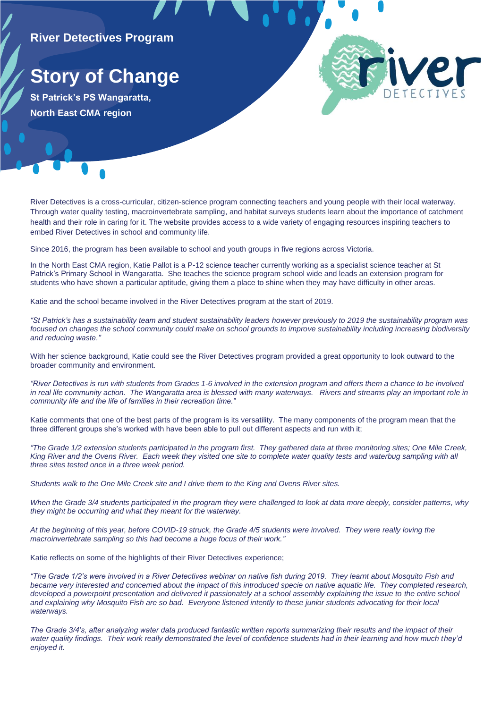## **River Detectives Program**

## **Story of Change**

**St Patrick's PS Wangaratta, North East CMA region**

River Detectives is a cross-curricular, citizen-science program connecting teachers and young people with their local waterway. Through water quality testing, macroinvertebrate sampling, and habitat surveys students learn about the importance of catchment health and their role in caring for it. The website provides access to a wide variety of engaging resources inspiring teachers to embed River Detectives in school and community life.

Since 2016, the program has been available to school and youth groups in five regions across Victoria.

In the North East CMA region, Katie Pallot is a P-12 science teacher currently working as a specialist science teacher at St Patrick's Primary School in Wangaratta. She teaches the science program school wide and leads an extension program for students who have shown a particular aptitude, giving them a place to shine when they may have difficulty in other areas.

Katie and the school became involved in the River Detectives program at the start of 2019.

*"St Patrick's has a sustainability team and student sustainability leaders however previously to 2019 the sustainability program was focused on changes the school community could make on school grounds to improve sustainability including increasing biodiversity and reducing waste."* 

With her science background, Katie could see the River Detectives program provided a great opportunity to look outward to the broader community and environment.

*"River Detectives is run with students from Grades 1-6 involved in the extension program and offers them a chance to be involved in real life community action. The Wangaratta area is blessed with many waterways. Rivers and streams play an important role in community life and the life of families in their recreation time."*

Katie comments that one of the best parts of the program is its versatility. The many components of the program mean that the three different groups she's worked with have been able to pull out different aspects and run with it;

*"The Grade 1/2 extension students participated in the program first. They gathered data at three monitoring sites; One Mile Creek, King River and the Ovens River. Each week they visited one site to complete water quality tests and waterbug sampling with all three sites tested once in a three week period.*

*Students walk to the One Mile Creek site and I drive them to the King and Ovens River sites.*

*When the Grade 3/4 students participated in the program they were challenged to look at data more deeply, consider patterns, why they might be occurring and what they meant for the waterway.*

*At the beginning of this year, before COVID-19 struck, the Grade 4/5 students were involved. They were really loving the macroinvertebrate sampling so this had become a huge focus of their work."*

Katie reflects on some of the highlights of their River Detectives experience;

*"The Grade 1/2's were involved in a River Detectives webinar on native fish during 2019. They learnt about Mosquito Fish and became very interested and concerned about the impact of this introduced specie on native aquatic life. They completed research, developed a powerpoint presentation and delivered it passionately at a school assembly explaining the issue to the entire school and explaining why Mosquito Fish are so bad. Everyone listened intently to these junior students advocating for their local waterways.*

*The Grade 3/4's, after analyzing water data produced fantastic written reports summarizing their results and the impact of their*  water quality findings. Their work really demonstrated the level of confidence students had in their learning and how much they'd *enjoyed it.*